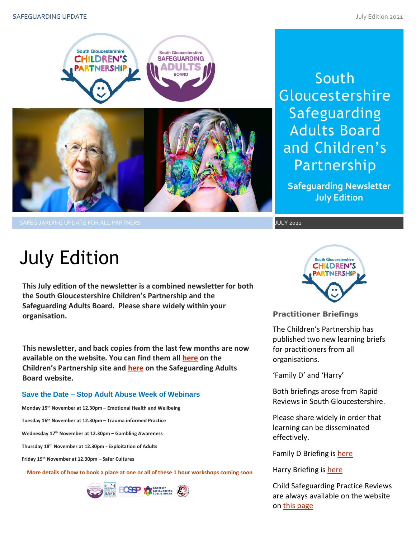

South **Gloucestershire** Safeguarding Adults Board and Children's Partnership

**Safeguarding Newsletter July Edition**

# July Edition

**This July edition of the newsletter is a combined newsletter for both the South Gloucestershire Children's Partnership and the Safeguarding Adults Board. Please share widely within your organisation.**

**This newsletter, and back copies from the last few months are now available on the website. You can find them all [here](https://sites.southglos.gov.uk/safeguarding/children/safeguarding-children-board/scb-minutes-of-meetings/) on the Children's Partnership site and [here](https://sites.southglos.gov.uk/safeguarding/adults/safeguarding-adults-board/newsletters-2/) on the Safeguarding Adults Board website.**

### **Save the Date – Stop Adult Abuse Week of Webinars**

**Monday 15th November at 12.30pm – Emotional Health and Wellbeing**

**Tuesday 16th November at 12.30pm – Trauma informed Practice**

**Wednesday 17th November at 12.30pm – Gambling Awareness**

**Thursday 18th November at 12.30pm - Exploitation of Adults**

**Friday 19th November at 12.30pm – Safer Cultures**

**More details of how to book a place at one or all of these 1 hour workshops coming soon**





**Practitioner Briefings** 

The Children's Partnership has published two new learning briefs for practitioners from all organisations.

'Family D' and 'Harry'

Both briefings arose from Rapid Reviews in South Gloucestershire.

Please share widely in order that learning can be disseminated effectively.

Family D Briefing is [here](http://sites.southglos.gov.uk/safeguarding/wp-content/uploads/sites/221/2015/05/Rapid-Review-Learning-Brief-version-1.pdf)

Harry Briefing is [here](http://sites.southglos.gov.uk/safeguarding/wp-content/uploads/sites/221/2015/05/Harry-Learning-Brief-May-2021.pdf)

Child Safeguarding Practice Reviews are always available on the website on [this page](http://sites.southglos.gov.uk/safeguarding/children/safeguarding-children-board/serious-case-reviews/)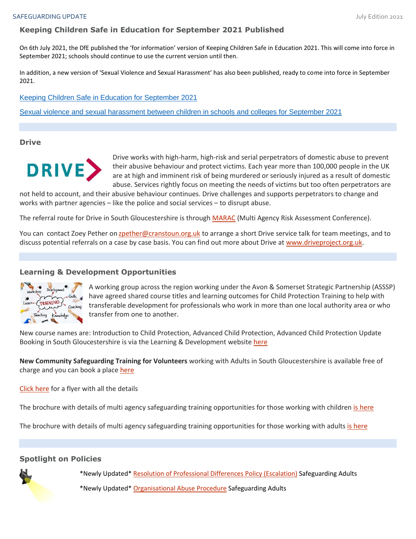## **Keeping Children Safe in Education for September 2021 Published**

On 6th July 2021, the DfE published the 'for information' version of Keeping Children Safe in Education 2021. This will come into force in September 2021; schools should continue to use the current version until then.

In addition, a new version of 'Sexual Violence and Sexual Harassment' has also been published, ready to come into force in September 2021.

[Keeping Children Safe in Education for September 2021](https://www.gov.uk/government/publications/keeping-children-safe-in-education--2)

Sexual [violence and sexual harassment between children in schools and colleges for September 2021](https://www.gov.uk/government/publications/sexual-violence-and-sexual-harassment-between-children-in-schools-and-colleges)

**Drive**



Drive works with high-harm, high-risk and serial perpetrators of domestic abuse to prevent their abusive behaviour and protect victims. Each year more than 100,000 people in the UK are at high and imminent risk of being murdered or seriously injured as a result of domestic abuse. Services rightly focus on meeting the needs of victims but too often perpetrators are

not held to account, and their abusive behaviour continues. Drive challenges and supports perpetrators to change and works with partner agencies – like the police and social services – to disrupt abuse.

The referral route for Drive in South Gloucestershire is through [MARAC](mailto:charlotte.ross@southglos.gov.uk?subject=MARAC%20) (Multi Agency Risk Assessment Conference).

You can contact Zoey Pether on [zpether@cranstoun.org.uk](mailto:zpether@cranstoun.org.uk) to arrange a short Drive service talk for team meetings, and to discuss potential referrals on a case by case basis. You can find out more about Drive at [www.driveproject.org.uk.](http://www.driveproject.org.uk/)

#### **Learning & Development Opportunities**



A working group across the region working under the Avon & Somerset Strategic Partnership (ASSSP) have agreed shared course titles and learning outcomes for Child Protection Training to help with transferable development for professionals who work in more than one local authority area or who transfer from one to another.

New course names are: Introduction to Child Protection, Advanced Child Protection, Advanced Child Protection Update Booking in South Gloucestershire is via the Learning & Development website [here](https://learning.southglos.gov.uk/cpd/portal.asp)

**New Community Safeguarding Training for Volunteers** working with Adults in South Gloucestershire is available free of charge and you can book a place [here](https://learning.southglos.gov.uk/courses/bookings/default.asp?ds=1&keyword=volunteers)

[Click here](http://sites.southglos.gov.uk/safeguarding/wp-content/uploads/sites/221/2021/06/Community-Safeguarding-Training-Flyer-2021.pdf) for a flyer with all the details

The brochure with details of multi agency safeguarding training opportunities for those working with children [is here](https://sway.office.com/XecEFBowUyeP1T8W?ref=Link)

The brochure with details of multi agency safeguarding training opportunities for those working with adults [is here](https://sway.office.com/t1V6fJqHugGmU9OO?ref=Link)

#### **Spotlight on Policies**

\*Newly Updated\* [Resolution of Professional Differences Policy \(Escalation\)](http://sites.southglos.gov.uk/safeguarding/wp-content/uploads/sites/221/2015/05/Escalation-Policy-2021.pdf) Safeguarding Adults

\*Newly Updated\* Organisational [Abuse Procedure](http://sites.southglos.gov.uk/safeguarding/wp-content/uploads/sites/221/2015/05/Organisational-Abuse-Guidance-2021.pdf) Safeguarding Adults